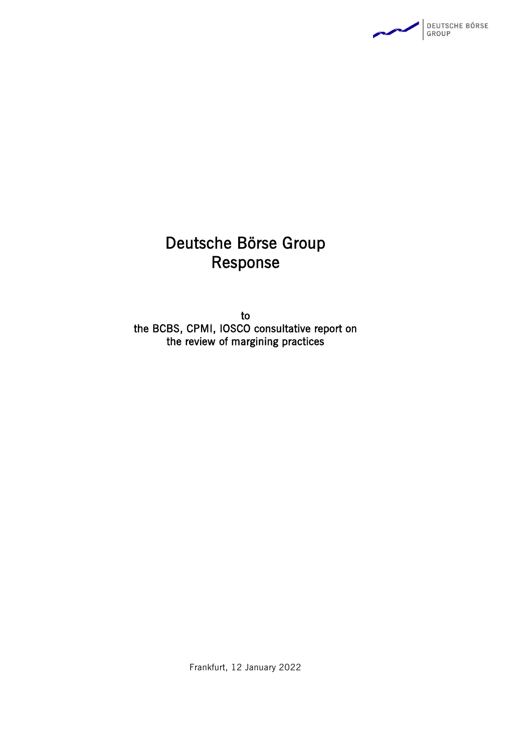

# Deutsche Börse Group Response

to the BCBS, CPMI, IOSCO consultative report on the review of margining practices

Frankfurt, 12 January 2022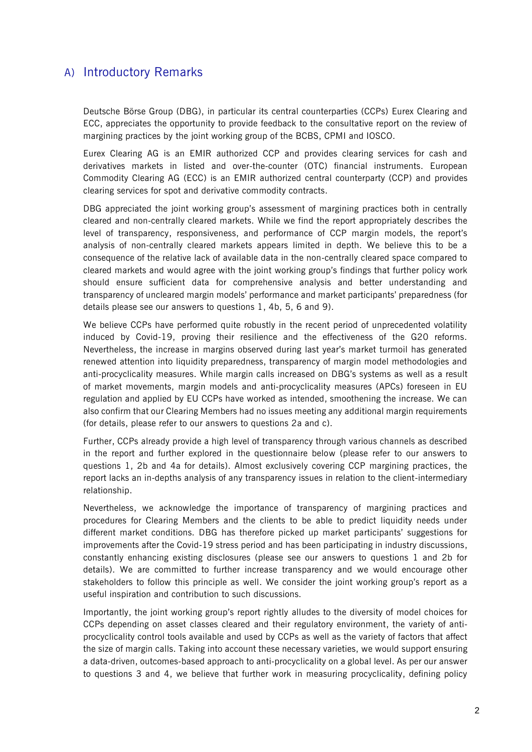## A) Introductory Remarks

Deutsche Börse Group (DBG), in particular its central counterparties (CCPs) Eurex Clearing and ECC, appreciates the opportunity to provide feedback to the consultative report on the review of margining practices by the joint working group of the BCBS, CPMI and IOSCO.

Eurex Clearing AG is an EMIR authorized CCP and provides clearing services for cash and derivatives markets in listed and over-the-counter (OTC) financial instruments. European Commodity Clearing AG (ECC) is an EMIR authorized central counterparty (CCP) and provides clearing services for spot and derivative commodity contracts.

DBG appreciated the joint working group's assessment of margining practices both in centrally cleared and non-centrally cleared markets. While we find the report appropriately describes the level of transparency, responsiveness, and performance of CCP margin models, the report's analysis of non-centrally cleared markets appears limited in depth. We believe this to be a consequence of the relative lack of available data in the non-centrally cleared space compared to cleared markets and would agree with the joint working group's findings that further policy work should ensure sufficient data for comprehensive analysis and better understanding and transparency of uncleared margin models' performance and market participants' preparedness (for details please see our answers to questions 1, 4b, 5, 6 and 9).

We believe CCPs have performed quite robustly in the recent period of unprecedented volatility induced by Covid-19, proving their resilience and the effectiveness of the G20 reforms. Nevertheless, the increase in margins observed during last year's market turmoil has generated renewed attention into liquidity preparedness, transparency of margin model methodologies and anti-procyclicality measures. While margin calls increased on DBG's systems as well as a result of market movements, margin models and anti-procyclicality measures (APCs) foreseen in EU regulation and applied by EU CCPs have worked as intended, smoothening the increase. We can also confirm that our Clearing Members had no issues meeting any additional margin requirements (for details, please refer to our answers to questions 2a and c).

Further, CCPs already provide a high level of transparency through various channels as described in the report and further explored in the questionnaire below (please refer to our answers to questions 1, 2b and 4a for details). Almost exclusively covering CCP margining practices, the report lacks an in-depths analysis of any transparency issues in relation to the client-intermediary relationship.

Nevertheless, we acknowledge the importance of transparency of margining practices and procedures for Clearing Members and the clients to be able to predict liquidity needs under different market conditions. DBG has therefore picked up market participants' suggestions for improvements after the Covid-19 stress period and has been participating in industry discussions, constantly enhancing existing disclosures (please see our answers to questions 1 and 2b for details). We are committed to further increase transparency and we would encourage other stakeholders to follow this principle as well. We consider the joint working group's report as a useful inspiration and contribution to such discussions.

Importantly, the joint working group's report rightly alludes to the diversity of model choices for CCPs depending on asset classes cleared and their regulatory environment, the variety of antiprocyclicality control tools available and used by CCPs as well as the variety of factors that affect the size of margin calls. Taking into account these necessary varieties, we would support ensuring a data-driven, outcomes-based approach to anti-procyclicality on a global level. As per our answer to questions 3 and 4, we believe that further work in measuring procyclicality, defining policy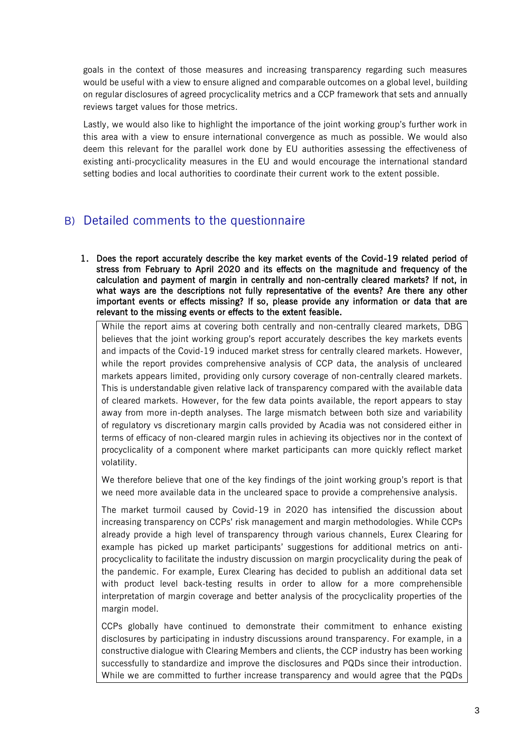goals in the context of those measures and increasing transparency regarding such measures would be useful with a view to ensure aligned and comparable outcomes on a global level, building on regular disclosures of agreed procyclicality metrics and a CCP framework that sets and annually reviews target values for those metrics.

Lastly, we would also like to highlight the importance of the joint working group's further work in this area with a view to ensure international convergence as much as possible. We would also deem this relevant for the parallel work done by EU authorities assessing the effectiveness of existing anti-procyclicality measures in the EU and would encourage the international standard setting bodies and local authorities to coordinate their current work to the extent possible.

## B) Detailed comments to the questionnaire

1. Does the report accurately describe the key market events of the Covid-19 related period of stress from February to April 2020 and its effects on the magnitude and frequency of the calculation and payment of margin in centrally and non-centrally cleared markets? If not, in what ways are the descriptions not fully representative of the events? Are there any other important events or effects missing? If so, please provide any information or data that are relevant to the missing events or effects to the extent feasible.

While the report aims at covering both centrally and non-centrally cleared markets, DBG believes that the joint working group's report accurately describes the key markets events and impacts of the Covid-19 induced market stress for centrally cleared markets. However, while the report provides comprehensive analysis of CCP data, the analysis of uncleared markets appears limited, providing only cursory coverage of non-centrally cleared markets. This is understandable given relative lack of transparency compared with the available data of cleared markets. However, for the few data points available, the report appears to stay away from more in-depth analyses. The large mismatch between both size and variability of regulatory vs discretionary margin calls provided by Acadia was not considered either in terms of efficacy of non-cleared margin rules in achieving its objectives nor in the context of procyclicality of a component where market participants can more quickly reflect market volatility.

We therefore believe that one of the key findings of the joint working group's report is that we need more available data in the uncleared space to provide a comprehensive analysis.

The market turmoil caused by Covid-19 in 2020 has intensified the discussion about increasing transparency on CCPs' risk management and margin methodologies. While CCPs already provide a high level of transparency through various channels, Eurex Clearing for example has picked up market participants' suggestions for additional metrics on antiprocyclicality to facilitate the industry discussion on margin procyclicality during the peak of the pandemic. For example, Eurex Clearing has decided to publish an additional data set with product level back-testing results in order to allow for a more comprehensible interpretation of margin coverage and better analysis of the procyclicality properties of the margin model.

CCPs globally have continued to demonstrate their commitment to enhance existing disclosures by participating in industry discussions around transparency. For example, in a constructive dialogue with Clearing Members and clients, the CCP industry has been working successfully to standardize and improve the disclosures and PQDs since their introduction. While we are committed to further increase transparency and would agree that the PQDs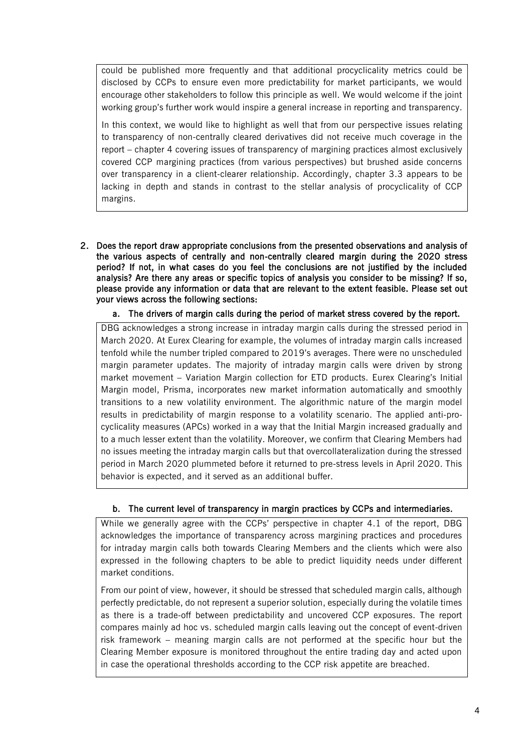could be published more frequently and that additional procyclicality metrics could be disclosed by CCPs to ensure even more predictability for market participants, we would encourage other stakeholders to follow this principle as well. We would welcome if the joint working group's further work would inspire a general increase in reporting and transparency.

In this context, we would like to highlight as well that from our perspective issues relating to transparency of non-centrally cleared derivatives did not receive much coverage in the report – chapter 4 covering issues of transparency of margining practices almost exclusively covered CCP margining practices (from various perspectives) but brushed aside concerns over transparency in a client-clearer relationship. Accordingly, chapter 3.3 appears to be lacking in depth and stands in contrast to the stellar analysis of procyclicality of CCP margins.

2. Does the report draw appropriate conclusions from the presented observations and analysis of the various aspects of centrally and non-centrally cleared margin during the 2020 stress period? If not, in what cases do you feel the conclusions are not justified by the included analysis? Are there any areas or specific topics of analysis you consider to be missing? If so, please provide any information or data that are relevant to the extent feasible. Please set out your views across the following sections:

#### a. The drivers of margin calls during the period of market stress covered by the report.

DBG acknowledges a strong increase in intraday margin calls during the stressed period in March 2020. At Eurex Clearing for example, the volumes of intraday margin calls increased tenfold while the number tripled compared to 2019's averages. There were no unscheduled margin parameter updates. The majority of intraday margin calls were driven by strong market movement – Variation Margin collection for ETD products. Eurex Clearing's Initial Margin model, Prisma, incorporates new market information automatically and smoothly transitions to a new volatility environment. The algorithmic nature of the margin model results in predictability of margin response to a volatility scenario. The applied anti-procyclicality measures (APCs) worked in a way that the Initial Margin increased gradually and to a much lesser extent than the volatility. Moreover, we confirm that Clearing Members had no issues meeting the intraday margin calls but that overcollateralization during the stressed period in March 2020 plummeted before it returned to pre-stress levels in April 2020. This behavior is expected, and it served as an additional buffer.

#### b. The current level of transparency in margin practices by CCPs and intermediaries.

While we generally agree with the CCPs' perspective in chapter 4.1 of the report, DBG acknowledges the importance of transparency across margining practices and procedures for intraday margin calls both towards Clearing Members and the clients which were also expressed in the following chapters to be able to predict liquidity needs under different market conditions.

From our point of view, however, it should be stressed that scheduled margin calls, although perfectly predictable, do not represent a superior solution, especially during the volatile times as there is a trade-off between predictability and uncovered CCP exposures. The report compares mainly ad hoc vs. scheduled margin calls leaving out the concept of event-driven risk framework – meaning margin calls are not performed at the specific hour but the Clearing Member exposure is monitored throughout the entire trading day and acted upon in case the operational thresholds according to the CCP risk appetite are breached.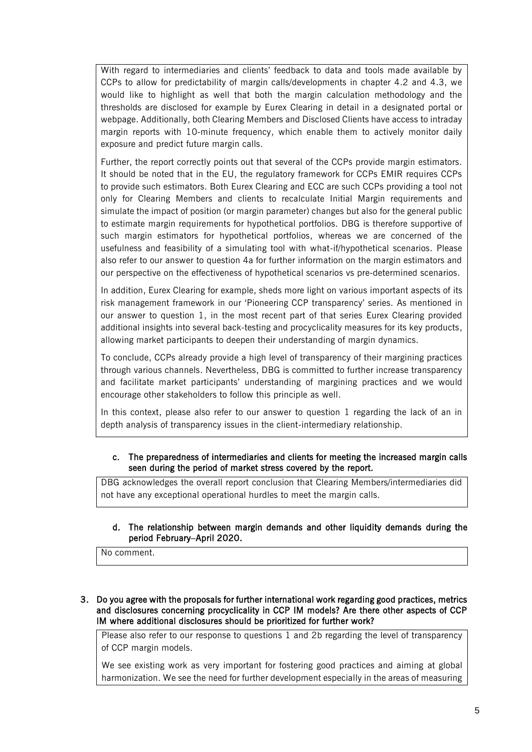With regard to intermediaries and clients' feedback to data and tools made available by CCPs to allow for predictability of margin calls/developments in chapter 4.2 and 4.3, we would like to highlight as well that both the margin calculation methodology and the thresholds are disclosed for example by Eurex Clearing in detail in a designated portal or webpage. Additionally, both Clearing Members and Disclosed Clients have access to intraday margin reports with 10-minute frequency, which enable them to actively monitor daily exposure and predict future margin calls.

Further, the report correctly points out that several of the CCPs provide margin estimators. It should be noted that in the EU, the regulatory framework for CCPs EMIR requires CCPs to provide such estimators. Both Eurex Clearing and ECC are such CCPs providing a tool not only for Clearing Members and clients to recalculate Initial Margin requirements and simulate the impact of position (or margin parameter) changes but also for the general public to estimate margin requirements for hypothetical portfolios. DBG is therefore supportive of such margin estimators for hypothetical portfolios, whereas we are concerned of the usefulness and feasibility of a simulating tool with what-if/hypothetical scenarios. Please also refer to our answer to question 4a for further information on the margin estimators and our perspective on the effectiveness of hypothetical scenarios vs pre-determined scenarios.

In addition, Eurex Clearing for example, sheds more light on various important aspects of its risk management framework in our 'Pioneering CCP transparency' series. As mentioned in our answer to question 1, in the most recent part of that series Eurex Clearing provided additional insights into several back-testing and procyclicality measures for its key products, allowing market participants to deepen their understanding of margin dynamics.

To conclude, CCPs already provide a high level of transparency of their margining practices through various channels. Nevertheless, DBG is committed to further increase transparency and facilitate market participants' understanding of margining practices and we would encourage other stakeholders to follow this principle as well.

In this context, please also refer to our answer to question 1 regarding the lack of an in depth analysis of transparency issues in the client-intermediary relationship.

#### c. The preparedness of intermediaries and clients for meeting the increased margin calls seen during the period of market stress covered by the report.

DBG acknowledges the overall report conclusion that Clearing Members/intermediaries did not have any exceptional operational hurdles to meet the margin calls.

#### d. The relationship between margin demands and other liquidity demands during the period February–April 2020.

No comment.

#### 3. Do you agree with the proposals for further international work regarding good practices, metrics and disclosures concerning procyclicality in CCP IM models? Are there other aspects of CCP IM where additional disclosures should be prioritized for further work?

Please also refer to our response to questions 1 and 2b regarding the level of transparency of CCP margin models.

We see existing work as very important for fostering good practices and aiming at global harmonization. We see the need for further development especially in the areas of measuring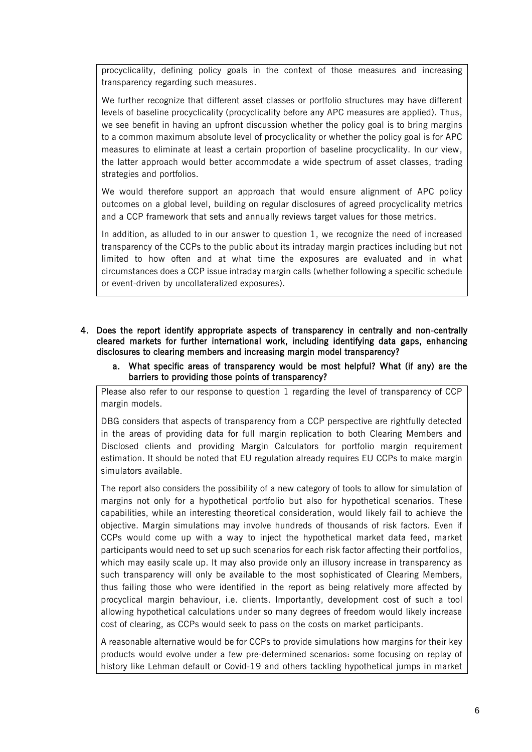procyclicality, defining policy goals in the context of those measures and increasing transparency regarding such measures.

We further recognize that different asset classes or portfolio structures may have different levels of baseline procyclicality (procyclicality before any APC measures are applied). Thus, we see benefit in having an upfront discussion whether the policy goal is to bring margins to a common maximum absolute level of procyclicality or whether the policy goal is for APC measures to eliminate at least a certain proportion of baseline procyclicality. In our view, the latter approach would better accommodate a wide spectrum of asset classes, trading strategies and portfolios.

We would therefore support an approach that would ensure alignment of APC policy outcomes on a global level, building on regular disclosures of agreed procyclicality metrics and a CCP framework that sets and annually reviews target values for those metrics.

In addition, as alluded to in our answer to question 1, we recognize the need of increased transparency of the CCPs to the public about its intraday margin practices including but not limited to how often and at what time the exposures are evaluated and in what circumstances does a CCP issue intraday margin calls (whether following a specific schedule or event-driven by uncollateralized exposures).

- 4. Does the report identify appropriate aspects of transparency in centrally and non-centrally cleared markets for further international work, including identifying data gaps, enhancing disclosures to clearing members and increasing margin model transparency?
	- a. What specific areas of transparency would be most helpful? What (if any) are the barriers to providing those points of transparency?

Please also refer to our response to question 1 regarding the level of transparency of CCP margin models.

DBG considers that aspects of transparency from a CCP perspective are rightfully detected in the areas of providing data for full margin replication to both Clearing Members and Disclosed clients and providing Margin Calculators for portfolio margin requirement estimation. It should be noted that EU regulation already requires EU CCPs to make margin simulators available.

The report also considers the possibility of a new category of tools to allow for simulation of margins not only for a hypothetical portfolio but also for hypothetical scenarios. These capabilities, while an interesting theoretical consideration, would likely fail to achieve the objective. Margin simulations may involve hundreds of thousands of risk factors. Even if CCPs would come up with a way to inject the hypothetical market data feed, market participants would need to set up such scenarios for each risk factor affecting their portfolios, which may easily scale up. It may also provide only an illusory increase in transparency as such transparency will only be available to the most sophisticated of Clearing Members, thus failing those who were identified in the report as being relatively more affected by procyclical margin behaviour, i.e. clients. Importantly, development cost of such a tool allowing hypothetical calculations under so many degrees of freedom would likely increase cost of clearing, as CCPs would seek to pass on the costs on market participants.

A reasonable alternative would be for CCPs to provide simulations how margins for their key products would evolve under a few pre-determined scenarios: some focusing on replay of history like Lehman default or Covid-19 and others tackling hypothetical jumps in market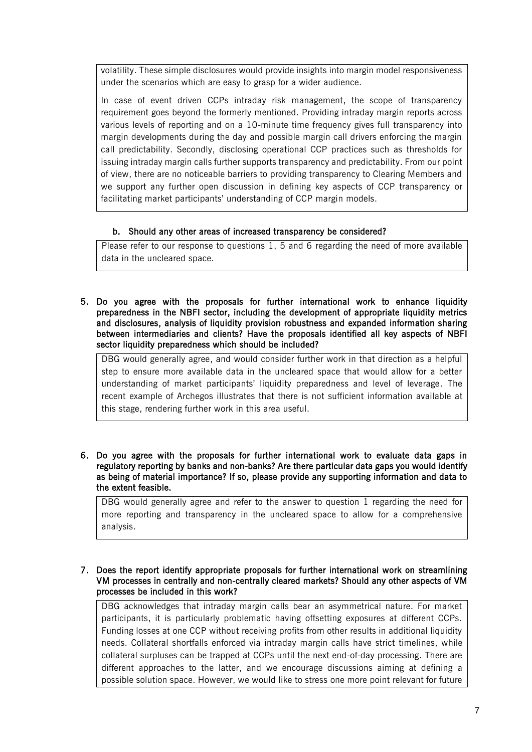volatility. These simple disclosures would provide insights into margin model responsiveness under the scenarios which are easy to grasp for a wider audience.

In case of event driven CCPs intraday risk management, the scope of transparency requirement goes beyond the formerly mentioned. Providing intraday margin reports across various levels of reporting and on a 10-minute time frequency gives full transparency into margin developments during the day and possible margin call drivers enforcing the margin call predictability. Secondly, disclosing operational CCP practices such as thresholds for issuing intraday margin calls further supports transparency and predictability. From our point of view, there are no noticeable barriers to providing transparency to Clearing Members and we support any further open discussion in defining key aspects of CCP transparency or facilitating market participants' understanding of CCP margin models.

#### b. Should any other areas of increased transparency be considered?

Please refer to our response to questions 1, 5 and 6 regarding the need of more available data in the uncleared space.

5. Do you agree with the proposals for further international work to enhance liquidity preparedness in the NBFI sector, including the development of appropriate liquidity metrics and disclosures, analysis of liquidity provision robustness and expanded information sharing between intermediaries and clients? Have the proposals identified all key aspects of NBFI sector liquidity preparedness which should be included?

DBG would generally agree, and would consider further work in that direction as a helpful step to ensure more available data in the uncleared space that would allow for a better understanding of market participants' liquidity preparedness and level of leverage. The recent example of Archegos illustrates that there is not sufficient information available at this stage, rendering further work in this area useful.

6. Do you agree with the proposals for further international work to evaluate data gaps in regulatory reporting by banks and non-banks? Are there particular data gaps you would identify as being of material importance? If so, please provide any supporting information and data to the extent feasible.

DBG would generally agree and refer to the answer to question 1 regarding the need for more reporting and transparency in the uncleared space to allow for a comprehensive analysis.

7. Does the report identify appropriate proposals for further international work on streamlining VM processes in centrally and non-centrally cleared markets? Should any other aspects of VM processes be included in this work?

DBG acknowledges that intraday margin calls bear an asymmetrical nature. For market participants, it is particularly problematic having offsetting exposures at different CCPs. Funding losses at one CCP without receiving profits from other results in additional liquidity needs. Collateral shortfalls enforced via intraday margin calls have strict timelines, while collateral surpluses can be trapped at CCPs until the next end-of-day processing. There are different approaches to the latter, and we encourage discussions aiming at defining a possible solution space. However, we would like to stress one more point relevant for future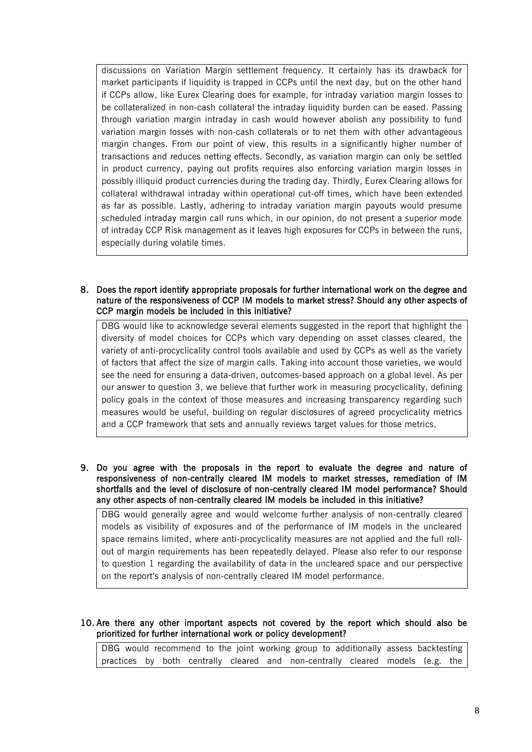discussions on Variation Margin settlement frequency. It certainly has its drawback for market participants if liquidity is trapped in CCPs until the next day, but on the other hand if CCPs allow, like Eurex Clearing does for example, for intraday variation margin losses to be collateralized in non-cash collateral the intraday liquidity burden can be eased. Passing through variation margin intraday in cash would however abolish any possibility to fund variation margin losses with non-cash collaterals or to net them with other advantageous margin changes. From our point of view, this results in a significantly higher number of transactions and reduces netting effects. Secondly, as variation margin can only be settled in product currency, paying out profits requires also enforcing variation margin losses in possibly illiquid product currencies during the trading day. Thirdly, Eurex Clearing allows for collateral withdrawal intraday within operational cut-off times, which have been extended as far as possible. Lastly, adhering to intraday variation margin payouts would presume scheduled intraday margin call runs which, in our opinion, do not present a superior mode of intraday CCP Risk management as it leaves high exposures for CCPs in between the runs, especially during volatile times.

8. Does the report identify appropriate proposals for further international work on the degree and nature of the responsiveness of CCP IM models to market stress? Should any other aspects of CCP margin models be included in this initiative?

DBG would like to acknowledge several elements suggested in the report that highlight the diversity of model choices for CCPs which vary depending on asset classes cleared, the variety of anti-procyclicality control tools available and used by CCPs as well as the variety of factors that affect the size of margin calls. Taking into account those varieties, we would see the need for ensuring a data-driven, outcomes-based approach on a global level. As per our answer to question 3, we believe that further work in measuring procyclicality, defining policy goals in the context of those measures and increasing transparency regarding such measures would be useful, building on regular disclosures of agreed procyclicality metrics and a CCP framework that sets and annually reviews target values for those metrics.

9. Do you agree with the proposals in the report to evaluate the degree and nature of responsiveness of non-centrally cleared IM models to market stresses, remediation of IM shortfalls and the level of disclosure of non-centrally cleared IM model performance? Should any other aspects of non-centrally cleared IM models be included in this initiative?

DBG would generally agree and would welcome further analysis of non-centrally cleared models as visibility of exposures and of the performance of IM models in the uncleared space remains limited, where anti-procyclicality measures are not applied and the full rollout of margin requirements has been repeatedly delayed. Please also refer to our response to question 1 regarding the availability of data in the uncleared space and our perspective on the report's analysis of non-centrally cleared IM model performance.

10. Are there any other important aspects not covered by the report which should also be prioritized for further international work or policy development?

DBG would recommend to the joint working group to additionally assess backtesting practices by both centrally cleared and non-centrally cleared models (e.g. the